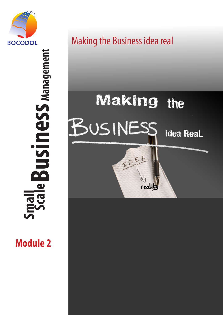

 **Scale Business Management Business** Management  $\overline{\mathbf{C}}$ **Small** K

**Module 2**

# Making the Business idea real

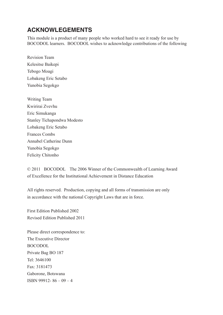### **ACKNOWLEGEMENTS**

This module is a product of many people who worked hard to see it ready for use by BOCODOL learners. BOCODOL wishes to acknowledge contributions of the following

Revision Team Kelesitse Baikepi Tebogo Moagi Lobakeng Eric Setabo Yunobia Segokgo

Writing Team Kwirirai Zvevhu Eric Simukanga Stanley Tichapondwa Modesto Lobakeng Eric Setabo Frances Combs Annabel Catherine Dunn Yunobia Segokgo Felicity Chitonho

© 2011 BOCODOL The 2006 Winner of the Commonwealth of Learning Award of Excellence for the Institutional Achievement in Distance Education

First Edition Published 2002 Revised Edition Published 2011

Please direct correspondence to: The Executive Director BOCODOL Private Bag BO 187 Tel: 3646100 Fax: 3181473 Gaborone, Botswana ISBN 99912- 86 – 09 – 4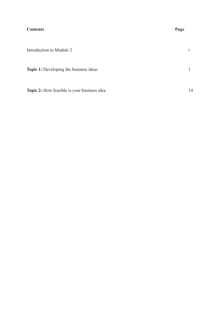### **Contents Page**

| Introduction to Module 2                           | $\mathbf{1}$ |
|----------------------------------------------------|--------------|
| <b>Topic 1:</b> Developing the business ideas      |              |
| <b>Topic 2:</b> How feasible is your business idea | 14           |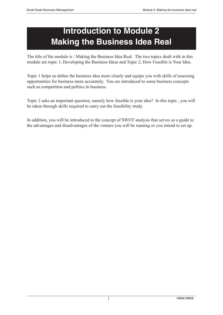# **Introduction to Module 2 Making the Business Idea Real**

The title of the module is : Making the Business Idea Real. The two topics dealt with in this module are topic 1; Developing the Business Ideas and Topic 2; How Feasible is Your Idea.

Topic 1 helps us define the business idea more clearly and equips you with skills of assessing opportunities for business more accurately. You are introduced to some business concepts such as competition and politics in business.

Topic 2 asks an important question, namely how feasible is your idea? In this topic , you will be taken through skills required to carry out the feasibility study.

In addition, you will be introduced to the concept of SWOT analysis that serves as a guide to the advantages and disadvantages of the venture you will be running or you intend to set up.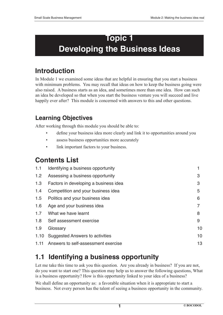# **Topic 1 Developing the Business Ideas**

## **Introduction**

In Module 1 we examined some ideas that are helpful in ensuring that you start a business with minimum problems. You may recall that ideas on how to keep the business going were also raised. A business starts as an idea, and sometimes more than one idea. How can such an idea be developed so that when you start the business venture you will succeed and live happily ever after? This module is concerned with answers to this and other questions.

### **Learning Objectives**

After working through this module you should be able to:

- define your business idea more clearly and link it to opportunities around you
- assess business opportunities more accurately
- link important factors to your business.

### **Contents List**

| 1.1  | Identifying a business opportunity    |    |
|------|---------------------------------------|----|
| 1.2  | Assessing a business opportunity      | 3  |
| 1.3  | Factors in developing a business idea | 3  |
| 1.4  | Competition and your business idea    | 5  |
| 1.5  | Politics and your business idea       | 6  |
| 1.6  | Age and your business idea            |    |
| 1.7  | What we have learnt                   | 8  |
| 1.8  | Self assessment exercise              | 9  |
| 1.9  | Glossary                              | 10 |
| 1.10 | Suggested Answers to activities       | 10 |
| 1.11 | Answers to self-assessment exercise   | 13 |

## **1.1 Identifying a business opportunity**

Let me take this time to ask you this question. Are you already in business? If you are not, do you want to start one? This question may help us to answer the following questions, What is a business opportunity? How is this opportunity linked to your idea of a business?

We shall define an opportunity as: a favorable situation when it is appropriate to start a business. Not every person has the talent of seeing a business opportunity in the community.

**1**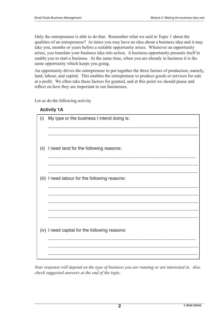Only the entrepreneur is able to do that. Remember what we said in Topic 1 about the qualities of an entrepreneur? At times you may have an idea about a business idea and it may take you, months or years before a suitable opportunity arises. Whenever an opportunity arises, you translate your business idea into action. A business opportunity presents itself to enable you to start a business. At the same time, when you are already in business it is the same opportunity which keeps you going.

An opportunity drives the entrepreneur to put together the three factors of production, namely, land, labour, and capital. This enables the entrepreneur to produce goods or services for sale at a profit. We often take these factors for granted, and at this point we should pause and reflect on how they are important to our businesses.

Let us do the following activity

| <b>Activity 1A</b> |  |
|--------------------|--|
|--------------------|--|

| (i)   | My type or the business I intend doing is:     |
|-------|------------------------------------------------|
|       |                                                |
| (ii)  | I need land for the following reasons:         |
|       |                                                |
| (iii) | I need labour for the following reasons:       |
|       |                                                |
|       |                                                |
|       |                                                |
|       | (iv) I need capital for the following reasons: |
|       |                                                |
|       |                                                |

*Your response will depend on the type of business you are running or are interested in. Also check suggested answers at the end of the topic.*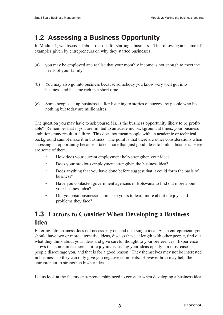## **1.2 Assessing a Business Opportunity**

In Module 1, we discussed about reasons for starting a business. The following are some of examples given by entrepreneurs on why they started businesses.

- (a) you may be employed and realise that your monthly income is not enough to meet the needs of your family.
- (b) You may also go into business because somebody you know very well got into business and became rich in a short time.
- (c) Some people set up businesses after listening to stories of success by people who had nothing but today are millionaires.

The question you may have to ask yourself is, is the business opportunity likely to be profitable? Remember that if you are limited to an academic background at times, your business ambitions may result in failure. This does not mean people with an academic or technical background cannot make it in business. The point is that there are other considerations when assessing an opportunity because it takes more than just good ideas to build a business. Here are some of them.

- How does your current employment help strengthen your idea?
- Does your previous employment strengthen the business idea?
- Does anything that you have done before suggest that it could form the basis of business?
- Have you contacted government agencies in Botswana to find out more about your business idea?
- Did you visit businesses similar to yours to learn more about the joys and problems they face?

### **1.3 Factors to Consider When Developing a Business Idea**

Entering into business does not necessarily depend on a single idea. As an entrepreneur, you should have two or more alternative ideas, discuss these at length with other people, find out what they think about your ideas and give careful thought to your preferences. Experience shows that sometimes there is little joy in discussing your ideas openly. In most cases people discourage you, and that is for a good reason. They themselves may not be interested in business, so they can only give you negative comments. However both may help the entrepreneur to strengthen his/her idea.

Let us look at the factors entrepreneurship need to consider when developing a business idea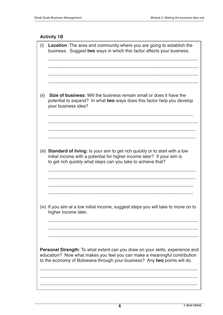### **Activity 1B**

| (i)  | <b>Location:</b> The area and community where you are going to establish the<br>business. Suggest two ways in which this factor affects your business.                                                                                          |
|------|-------------------------------------------------------------------------------------------------------------------------------------------------------------------------------------------------------------------------------------------------|
|      |                                                                                                                                                                                                                                                 |
| (ii) | <b>Size of business:</b> Will the business remain small or does it have the<br>potential to expand? In what two ways does this factor help you develop<br>your business idea?                                                                   |
|      |                                                                                                                                                                                                                                                 |
|      | (iii) Standard of living: Is your aim to get rich quickly or to start with a low<br>initial income with a potential for higher income later? If your aim is<br>to get rich quickly what steps can you take to achieve that?                     |
|      |                                                                                                                                                                                                                                                 |
|      | (iv) If you aim at a low initial income, suggest steps you will take to move on to<br>higher income later.                                                                                                                                      |
|      |                                                                                                                                                                                                                                                 |
|      | <b>Personal Strength</b> : To what extent can you draw on your skills, experience and<br>education? Now what makes you feel you can make a meaningful contribution<br>to the economy of Botswana through your business? Any two points will do. |
|      |                                                                                                                                                                                                                                                 |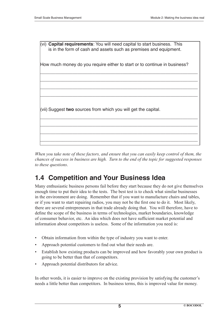

*When you take note of these factors, and ensure that you can easily keep control of them, the chances of success in business are high. Turn to the end of the topic for suggested responses to these questions*.

### **1.4 Competition and Your Business Idea**

Many enthusiastic business persons fail before they start because they do not give themselves enough time to put their idea to the tests. The best test is to check what similar businesses in the environment are doing. Remember that if you want to manufacture chairs and tables, or if you want to start repairing radios, you may not be the first one to do it. Most likely, there are several entrepreneurs in that trade already doing that. You will therefore, have to define the scope of the business in terms of technologies, market boundaries, knowledge of consumer behavior, etc. An idea which does not have sufficient market potential and information about competitors is useless. Some of the information you need is:

- Obtain information from within the type of industry you want to enter.
- Approach potential customers to find out what their needs are.
- Establish how existing products can be improved and how favorably your own product is going to be better than that of competitors.
- Approach potential distributors for advice.

In other words, it is easier to improve on the existing provision by satisfying the customer's needs a little better than competitors. In business terms, this is improved value for money.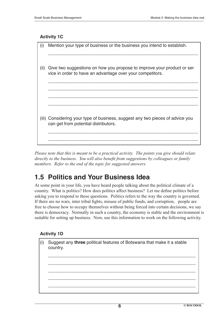#### **Activity 1C**

| (i)  | Mention your type of business or the business you intend to establish.        |
|------|-------------------------------------------------------------------------------|
|      |                                                                               |
|      |                                                                               |
|      |                                                                               |
| (ii) | Give two suggestions on how you propose to improve your product or ser        |
|      | vice in order to have an advantage over your competitors.                     |
|      |                                                                               |
|      |                                                                               |
|      |                                                                               |
|      |                                                                               |
|      |                                                                               |
|      |                                                                               |
|      |                                                                               |
|      |                                                                               |
|      | (iii) Considering your type of business, suggest any two pieces of advice you |
|      | can get from potential distributors.                                          |
|      |                                                                               |
|      |                                                                               |
|      |                                                                               |
|      |                                                                               |

*Please note that this is meant to be a practical activity. The points you give should relate*  directly to the business. You will also benefit from suggestions by colleagues or family *members. Refer to the end of the topic for suggested answers.*

### **1.5 Politics and Your Business Idea**

At some point in your life, you have heard people talking about the political climate of a country. What is politics? How does politics affect business? Let me define politics before asking you to respond to these questions. Politics refers to the way the country is governed. If there are no wars, inter tribal fights, misuse of public funds, and corruption, people are free to choose how to occupy themselves without being forced into certain decisions, we say there is democracy. Normally in such a country, the economy is stable and the environment is suitable for setting up business. Now, use this information to work on the following activity.

#### **Activity 1D**

(i) Suggest any **three** political features of Botswana that make it a stable country.

 $\overline{\phantom{a}}$  ,  $\overline{\phantom{a}}$  ,  $\overline{\phantom{a}}$  ,  $\overline{\phantom{a}}$  ,  $\overline{\phantom{a}}$  ,  $\overline{\phantom{a}}$  ,  $\overline{\phantom{a}}$  ,  $\overline{\phantom{a}}$  ,  $\overline{\phantom{a}}$  ,  $\overline{\phantom{a}}$  ,  $\overline{\phantom{a}}$  ,  $\overline{\phantom{a}}$  ,  $\overline{\phantom{a}}$  ,  $\overline{\phantom{a}}$  ,  $\overline{\phantom{a}}$  ,  $\overline{\phantom{a}}$ 

 $\overline{\phantom{a}}$  , and the contract of the contract of the contract of the contract of the contract of the contract of the contract of the contract of the contract of the contract of the contract of the contract of the contrac

 $\overline{\phantom{a}}$  ,  $\overline{\phantom{a}}$  ,  $\overline{\phantom{a}}$  ,  $\overline{\phantom{a}}$  ,  $\overline{\phantom{a}}$  ,  $\overline{\phantom{a}}$  ,  $\overline{\phantom{a}}$  ,  $\overline{\phantom{a}}$  ,  $\overline{\phantom{a}}$  ,  $\overline{\phantom{a}}$  ,  $\overline{\phantom{a}}$  ,  $\overline{\phantom{a}}$  ,  $\overline{\phantom{a}}$  ,  $\overline{\phantom{a}}$  ,  $\overline{\phantom{a}}$  ,  $\overline{\phantom{a}}$ 

 $\overline{\phantom{a}}$  , and the contract of the contract of the contract of the contract of the contract of the contract of the contract of the contract of the contract of the contract of the contract of the contract of the contrac

 $\overline{\phantom{a}}$  ,  $\overline{\phantom{a}}$  ,  $\overline{\phantom{a}}$  ,  $\overline{\phantom{a}}$  ,  $\overline{\phantom{a}}$  ,  $\overline{\phantom{a}}$  ,  $\overline{\phantom{a}}$  ,  $\overline{\phantom{a}}$  ,  $\overline{\phantom{a}}$  ,  $\overline{\phantom{a}}$  ,  $\overline{\phantom{a}}$  ,  $\overline{\phantom{a}}$  ,  $\overline{\phantom{a}}$  ,  $\overline{\phantom{a}}$  ,  $\overline{\phantom{a}}$  ,  $\overline{\phantom{a}}$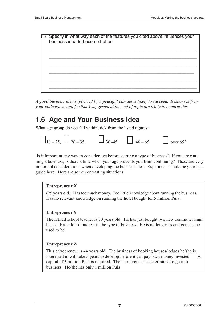Specify in what way each of the features you cited above influences your business idea to become better.  $\overline{\phantom{a}}$  ,  $\overline{\phantom{a}}$  ,  $\overline{\phantom{a}}$  ,  $\overline{\phantom{a}}$  ,  $\overline{\phantom{a}}$  ,  $\overline{\phantom{a}}$  ,  $\overline{\phantom{a}}$  ,  $\overline{\phantom{a}}$  ,  $\overline{\phantom{a}}$  ,  $\overline{\phantom{a}}$  ,  $\overline{\phantom{a}}$  ,  $\overline{\phantom{a}}$  ,  $\overline{\phantom{a}}$  ,  $\overline{\phantom{a}}$  ,  $\overline{\phantom{a}}$  ,  $\overline{\phantom{a}}$  $\overline{\phantom{a}}$  ,  $\overline{\phantom{a}}$  ,  $\overline{\phantom{a}}$  ,  $\overline{\phantom{a}}$  ,  $\overline{\phantom{a}}$  ,  $\overline{\phantom{a}}$  ,  $\overline{\phantom{a}}$  ,  $\overline{\phantom{a}}$  ,  $\overline{\phantom{a}}$  ,  $\overline{\phantom{a}}$  ,  $\overline{\phantom{a}}$  ,  $\overline{\phantom{a}}$  ,  $\overline{\phantom{a}}$  ,  $\overline{\phantom{a}}$  ,  $\overline{\phantom{a}}$  ,  $\overline{\phantom{a}}$  $\overline{\phantom{a}}$  ,  $\overline{\phantom{a}}$  ,  $\overline{\phantom{a}}$  ,  $\overline{\phantom{a}}$  ,  $\overline{\phantom{a}}$  ,  $\overline{\phantom{a}}$  ,  $\overline{\phantom{a}}$  ,  $\overline{\phantom{a}}$  ,  $\overline{\phantom{a}}$  ,  $\overline{\phantom{a}}$  ,  $\overline{\phantom{a}}$  ,  $\overline{\phantom{a}}$  ,  $\overline{\phantom{a}}$  ,  $\overline{\phantom{a}}$  ,  $\overline{\phantom{a}}$  ,  $\overline{\phantom{a}}$  $\overline{\phantom{a}}$  ,  $\overline{\phantom{a}}$  ,  $\overline{\phantom{a}}$  ,  $\overline{\phantom{a}}$  ,  $\overline{\phantom{a}}$  ,  $\overline{\phantom{a}}$  ,  $\overline{\phantom{a}}$  ,  $\overline{\phantom{a}}$  ,  $\overline{\phantom{a}}$  ,  $\overline{\phantom{a}}$  ,  $\overline{\phantom{a}}$  ,  $\overline{\phantom{a}}$  ,  $\overline{\phantom{a}}$  ,  $\overline{\phantom{a}}$  ,  $\overline{\phantom{a}}$  ,  $\overline{\phantom{a}}$  $\overline{\phantom{a}}$  ,  $\overline{\phantom{a}}$  ,  $\overline{\phantom{a}}$  ,  $\overline{\phantom{a}}$  ,  $\overline{\phantom{a}}$  ,  $\overline{\phantom{a}}$  ,  $\overline{\phantom{a}}$  ,  $\overline{\phantom{a}}$  ,  $\overline{\phantom{a}}$  ,  $\overline{\phantom{a}}$  ,  $\overline{\phantom{a}}$  ,  $\overline{\phantom{a}}$  ,  $\overline{\phantom{a}}$  ,  $\overline{\phantom{a}}$  ,  $\overline{\phantom{a}}$  ,  $\overline{\phantom{a}}$  $\overline{\phantom{a}}$  ,  $\overline{\phantom{a}}$  ,  $\overline{\phantom{a}}$  ,  $\overline{\phantom{a}}$  ,  $\overline{\phantom{a}}$  ,  $\overline{\phantom{a}}$  ,  $\overline{\phantom{a}}$  ,  $\overline{\phantom{a}}$  ,  $\overline{\phantom{a}}$  ,  $\overline{\phantom{a}}$  ,  $\overline{\phantom{a}}$  ,  $\overline{\phantom{a}}$  ,  $\overline{\phantom{a}}$  ,  $\overline{\phantom{a}}$  ,  $\overline{\phantom{a}}$  ,  $\overline{\phantom{a}}$ 

*A good business idea supported by a peaceful climate is likely to succeed. Responses from your colleagues, and feedback suggested at the end of topic are likely to confirm this.* 

### **1.6 Age and Your Business Idea**

What age group do you fall within, tick from the listed figures:



 Is it important any way to consider age before starting a type of business? If you are running a business, is there a time when your age prevents you from continuing? These are very important considerations when developing the business idea. Experience should be your best guide here. Here are some contrasting situations.

#### **Entrepreneur X**

 (25 years old). Has too much money. Too little knowledge about running the business. Has no relevant knowledge on running the hotel bought for 5 million Pula.

#### **Entrepreneur Y**

 The retired school teacher is 70 years old. He has just bought two new commuter mini buses. Has a lot of interest in the type of business. He is no longer as energetic as he used to be.

#### **Entrepreneur Z**

 This entrepreneur is 44 years old. The business of booking houses/lodges he/she is interested in will take 5 years to develop before it can pay back money invested. A capital of 3 million Pula is required. The entrepreneur is determined to go into business. He/she has only 1 million Pula.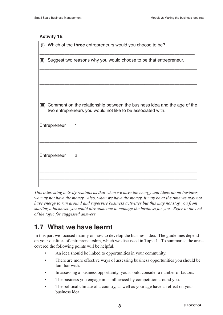#### **Activity 1E**

|              | (i) Which of the three entrepreneurs would you choose to be?                                                                                  |
|--------------|-----------------------------------------------------------------------------------------------------------------------------------------------|
|              | (ii) Suggest two reasons why you would choose to be that entrepreneur.                                                                        |
|              |                                                                                                                                               |
|              |                                                                                                                                               |
|              | (iii) Comment on the relationship between the business idea and the age of the<br>two entrepreneurs you would not like to be associated with. |
| Entrepreneur | 1                                                                                                                                             |
|              |                                                                                                                                               |
| Entrepreneur | 2                                                                                                                                             |
|              |                                                                                                                                               |
|              |                                                                                                                                               |

*This interesting activity reminds us that when we have the energy and ideas about business, we may not have the money. Also, when we have the money, it may be at the time we may not have energy to run around and supervise business activities but this may not stop you from starting a business, you could hire someone to manage the business for you. Refer to the end of the topic for suggested answers.*

### **1.7 What we have learnt**

In this part we focused mainly on how to develop the business idea. The guidelines depend on your qualities of entrepreneurship, which we discussed in Topic 1. To summarise the areas covered the following points will be helpful.

- An idea should be linked to opportunities in your community.
- There are more effective ways of assessing business opportunities you should be familiar with.
- In assessing a business opportunity, you should consider a number of factors.
- The business you engage in is influenced by competition around you.
- The political climate of a country, as well as your age have an effect on your business idea.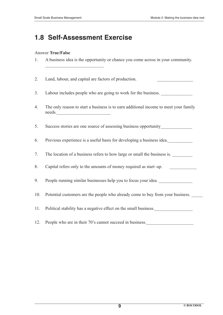### **1.8 Self-Assessment Exercise**

#### Answer **True/False**

- 1. A business idea is the opportunity or chance you come across in your community.  $\mathcal{L}_\text{max}$
- 2. Land, labour, and capital are factors of production.
- 3. Labour includes people who are going to work for the business.
- 4. The only reason to start a business is to earn additional income to meet your family needs.
- 5. Success stories are one source of assessing business opportunity
- 6. Previous experience is a useful basis for developing a business idea.
- 7. The location of a business refers to how large or small the business is.
- 8. Capital refers only to the amounts of money required as start–up.
- 9. People running similar businesses help you to focus your idea.
- 10. Potential customers are the people who already come to buy from your business.
- 11. Political stability has a negative effect on the small business.
- 12. People who are in their 70's cannot succeed in business.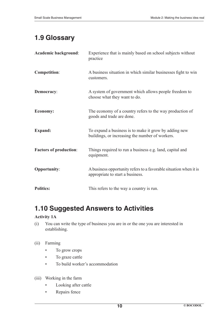## **1.9 Glossary**

| Academic background:          | Experience that is mainly based on school subjects without<br>practice                                   |
|-------------------------------|----------------------------------------------------------------------------------------------------------|
| <b>Competition:</b>           | A business situation in which similar businesses fight to win<br>customers.                              |
| <b>Democracy:</b>             | A system of government which allows people freedom to<br>choose what they want to do.                    |
| <b>Economy:</b>               | The economy of a country refers to the way production of<br>goods and trade are done.                    |
| <b>Expand:</b>                | To expand a business is to make it grow by adding new<br>buildings, or increasing the number of workers. |
| <b>Factors of production:</b> | Things required to run a business e.g. land, capital and<br>equipment.                                   |
| <b>Opportunity:</b>           | A business opportunity refers to a favorable situation when it is<br>appropriate to start a business.    |
| <b>Politics:</b>              | This refers to the way a country is run.                                                                 |

### **1.10 Suggested Answers to Activities**

### **Activity 1A**

(i) You can write the type of business you are in or the one you are interested in establishing.

#### (ii) Farming

- To grow crops
- To graze cattle
- To build worker's accommodation
- (iii) Working in the farm
	- Looking after cattle
	- Repairs fence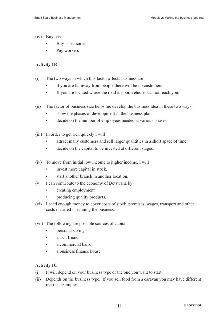- (iv) Buy seed
	- Buy insecticides
	- Pay workers

#### **Activity 1B**

- (i) The two ways in which this factor affects business are
	- if you are far away from people there will be no customers
	- If you are located where the road is poor, vehicles cannot reach you.
- (ii) The factor of business size helps me develop the business idea in these two ways:
	- show the phases of development in the business plan.
	- decide on the number of employees needed at various phases.
- (iii) In order to get rich quickly I will
	- attract many customers and sell larger quantities in a short space of time.
	- decide on the capital to be invested at different stages.
- (iv) To move from initial low income to higher income, I will
	- invest more capital in stock.
	- start another branch in another location.
- (v) I can contribute to the economy of Botswana by:
	- creating employment
	- producing quality products.
- (vi) I need enough money to cover costs of stock, premises, wages, transport and other costs incurred in running the business.
- (vii) The following are possible sources of capital
	- personal savings
	- a rich friend
	- a commercial bank
	- $\cdot$  a business finance house

#### **Activity 1C**

- (i) It will depend on your business type or the one you want to start.
- (ii) Depends on the business type. If you sell food from a caravan you may have different reasons example: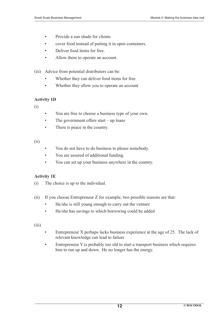- Provide a sun shade for clients
- cover food instead of putting it in open containers.
- Deliver food items for free.
- Allow them to operate an account.

(iii) Advice from potential distributors can be:

- Whether they can deliver food items for free
- Whether they allow you to operate an account

#### **Activity 1D**

(i)

- You are free to choose a business type of your own.
- The government offers start up loans
- There is peace in the country.

#### (ii)

- You do not have to do business to please somebody.
- You are assured of additional funding.
- You can set up your business anywhere in the country.

#### **Activity 1E**

- (i) The choice is up to the individual.
- (ii) If you choose Entrepreneur Z for example, two possible reasons are that:
	- He/she is still young enough to carry out the venture
	- He/she has savings to which borrowing could be added

 $(iii)$ 

- Entrepreneur X perhaps lacks business experience at the age of 25. The lack of relevant knowledge can lead to failure
- Entrepreneur Y is probably too old to start a transport business which requires him to run up and down. He no longer has the energy.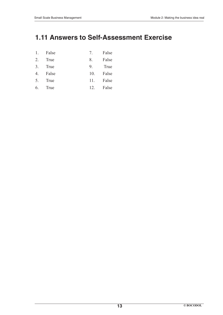### **1.11 Answers to Self-Assessment Exercise**

- 1. False 7. False
- 2. True 8. False
- 3. True 9. True
- 4. False 10. False
- 5. True 11. False
- 6. True 12. False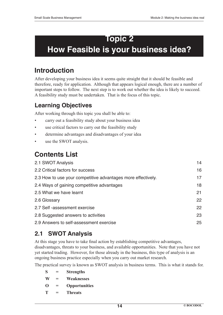# **Topic 2 How Feasible is your business idea?**

## **Introduction**

After developing your business idea it seems quite straight that it should be feasible and therefore, ready for application. Although that appears logical enough, there are a number of important steps to follow. The next step is to work out whether the idea is likely to succeed. A feasibility study must be undertaken. That is the focus of this topic.

### **Learning Objectives**

After working through this topic you shall be able to:

- carry out a feasibility study about your business idea
- use critical factors to carry out the feasibility study
- determine advantages and disadvantages of your idea
- use the SWOT analysis.

## **Contents List**

| 2.1 SWOT Analysis                                            | 14 |
|--------------------------------------------------------------|----|
| 2.2 Critical factors for success                             | 16 |
| 2.3 How to use your competitive advantages more effectively. | 17 |
| 2.4 Ways of gaining competitive advantages                   | 18 |
| 2.5 What we have learnt                                      | 21 |
| 2.6 Glossary                                                 | 22 |
| 2.7 Self -assessment exercise                                | 22 |
| 2.8 Suggested answers to activities                          | 23 |
| 2.9 Answers to self-assessment exercise                      | 25 |

### **2.1 SWOT Analysis**

At this stage you have to take final action by establishing competitive advantages, disadvantages, threats to your business, and available opportunities. Note that you have not yet started trading. However, for those already in the business, this type of analysis is an ongoing business practice especially when you carry out market research.

The practical survey is known as SWOT analysis in business terms. This is what it stands for.

- **S = Strengths**
- **W = Weaknesses**
- **O = Opportunities**
- **T = Threats**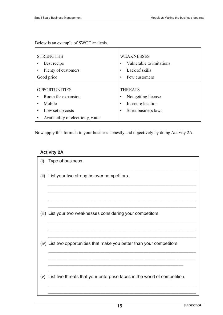Below is an example of SWOT analysis.

| <b>STRENGTHS</b>                   | <b>WEAKNESSES</b>                 |  |
|------------------------------------|-----------------------------------|--|
| Best recipe                        | Vulnerable to imitations          |  |
| Plenty of customers                | Lack of skills<br>$\bullet$       |  |
| Good price                         | Few customers<br>$\bullet$        |  |
|                                    |                                   |  |
| <b>OPPORTUNITIES</b>               | <b>THREATS</b>                    |  |
| Room for expansion                 | Not getting license<br>$\bullet$  |  |
| Mobile                             | Insecure location<br>$\bullet$    |  |
| Low set up costs                   | Strict business laws<br>$\bullet$ |  |
| Availability of electricity, water |                                   |  |

Now apply this formula to your business honestly and objectively by doing Activity 2A.

### **Activity 2A**

| (i)  | Type of business.                                                            |
|------|------------------------------------------------------------------------------|
| (ii) | List your two strengths over competitors.                                    |
|      |                                                                              |
|      | (iii) List your two weaknesses considering your competitors.                 |
|      | (iv) List two opportunities that make you better than your competitors.      |
|      | (v) List two threats that your enterprise faces in the world of competition. |
|      |                                                                              |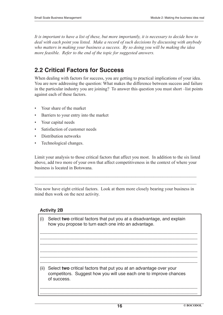*It is important to have a list of these, but more importantly, it is necessary to decide how to deal with each point you listed. Make a record of such decisions by discussing with anybody who matters in making your business a success. By so doing you will be making the idea more feasible. Refer to the end of the topic for suggested answers.*

### **2.2 Critical Factors for Success**

When dealing with factors for success, you are getting to practical implications of your idea. You are now addressing the question: What makes the difference between success and failure in the particular industry you are joining? To answer this question you must short –list points against each of these factors.

- Your share of the market
- Barriers to your entry into the market
- Your capital needs
- Satisfaction of customer needs
- Distribution networks
- Technological changes.

Limit your analysis to those critical factors that affect you most. In addition to the six listed above, add two more of your own that affect competitiveness in the context of where your business is located in Botswana.

You now have eight critical factors. Look at them more closely bearing your business in mind then work on the next activity.

 $\mathcal{L}_\mathcal{L} = \mathcal{L}_\mathcal{L} = \mathcal{L}_\mathcal{L} = \mathcal{L}_\mathcal{L} = \mathcal{L}_\mathcal{L} = \mathcal{L}_\mathcal{L} = \mathcal{L}_\mathcal{L} = \mathcal{L}_\mathcal{L} = \mathcal{L}_\mathcal{L} = \mathcal{L}_\mathcal{L} = \mathcal{L}_\mathcal{L} = \mathcal{L}_\mathcal{L} = \mathcal{L}_\mathcal{L} = \mathcal{L}_\mathcal{L} = \mathcal{L}_\mathcal{L} = \mathcal{L}_\mathcal{L} = \mathcal{L}_\mathcal{L}$  $\mathcal{L}_\mathcal{L} = \mathcal{L}_\mathcal{L} = \mathcal{L}_\mathcal{L} = \mathcal{L}_\mathcal{L} = \mathcal{L}_\mathcal{L} = \mathcal{L}_\mathcal{L} = \mathcal{L}_\mathcal{L} = \mathcal{L}_\mathcal{L} = \mathcal{L}_\mathcal{L} = \mathcal{L}_\mathcal{L} = \mathcal{L}_\mathcal{L} = \mathcal{L}_\mathcal{L} = \mathcal{L}_\mathcal{L} = \mathcal{L}_\mathcal{L} = \mathcal{L}_\mathcal{L} = \mathcal{L}_\mathcal{L} = \mathcal{L}_\mathcal{L}$ 

#### **Activity 2B**

| (i)  | Select two critical factors that put you at a disadvantage, and explain<br>how you propose to turn each one into an advantage.          |
|------|-----------------------------------------------------------------------------------------------------------------------------------------|
|      |                                                                                                                                         |
| (ii) | Select two critical factors that put you at an advantage over your<br>competitors. Suggest how you will use each one to improve chances |
|      | of success.                                                                                                                             |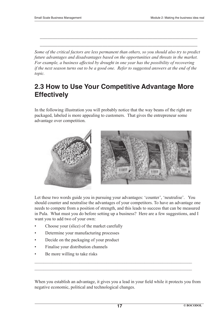*Some of the critical factors are less permanent than others, so you should also try to predict future advantages and disadvantages based on the opportunities and threats in the market. For example, a business affected by drought in one year has the possibility of recovering if the next season turns out to be a good one. Refer to suggested answers at the end of the topic.*

\_\_\_\_\_\_\_\_\_\_\_\_\_\_\_\_\_\_\_\_\_\_\_\_\_\_\_\_\_\_\_\_\_\_\_\_\_\_\_\_\_\_\_\_\_\_\_\_\_\_\_\_\_\_\_\_\_\_\_\_\_\_\_

\_\_\_\_\_\_\_\_\_\_\_\_\_\_\_\_\_\_\_\_\_\_\_\_\_\_\_\_\_\_\_\_\_\_\_\_\_\_\_\_\_\_\_\_\_\_\_\_\_\_\_\_\_\_\_\_\_\_\_\_\_\_\_

### **2.3 How to Use Your Competitive Advantage More Effectively**

In the following illustration you will probably notice that the way beans of the right are packaged, labeled is more appealing to customers. That gives the entrepreneur some advantage over competition.



Let these two words guide you in pursuing your advantages: 'counter', 'neutralise'. You should counter and neutralise the advantages of your competitors. To have an advantage one needs to compete from a position of strength, and this leads to success that can be measured in Pula. What must you do before setting up a business? Here are a few suggestions, and I want you to add two of your own:

- Choose your (slice) of the market carefully
- Determine your manufacturing processes
- Decide on the packaging of your product
- Finalise your distribution channels
- Be more willing to take risks

When you establish an advantage, it gives you a lead in your field while it protects you from negative economic, political and technological changes.

 $\mathcal{L}_\text{max} = \mathcal{L}_\text{max} = \mathcal{L}_\text{max} = \mathcal{L}_\text{max} = \mathcal{L}_\text{max} = \mathcal{L}_\text{max} = \mathcal{L}_\text{max} = \mathcal{L}_\text{max} = \mathcal{L}_\text{max} = \mathcal{L}_\text{max} = \mathcal{L}_\text{max} = \mathcal{L}_\text{max} = \mathcal{L}_\text{max} = \mathcal{L}_\text{max} = \mathcal{L}_\text{max} = \mathcal{L}_\text{max} = \mathcal{L}_\text{max} = \mathcal{L}_\text{max} = \mathcal{$  $\mathcal{L}_\mathcal{L} = \mathcal{L}_\mathcal{L} = \mathcal{L}_\mathcal{L} = \mathcal{L}_\mathcal{L} = \mathcal{L}_\mathcal{L} = \mathcal{L}_\mathcal{L} = \mathcal{L}_\mathcal{L} = \mathcal{L}_\mathcal{L} = \mathcal{L}_\mathcal{L} = \mathcal{L}_\mathcal{L} = \mathcal{L}_\mathcal{L} = \mathcal{L}_\mathcal{L} = \mathcal{L}_\mathcal{L} = \mathcal{L}_\mathcal{L} = \mathcal{L}_\mathcal{L} = \mathcal{L}_\mathcal{L} = \mathcal{L}_\mathcal{L}$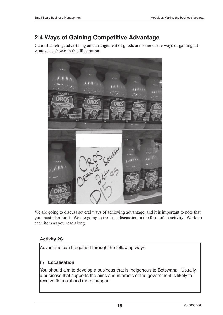### **2.4 Ways of Gaining Competitive Advantage**

Careful labeling, advertising and arrangement of goods are some of the ways of gaining advantage as shown in this illustration.



We are going to discuss several ways of achieving advantage, and it is important to note that you must plan for it. We are going to treat the discussion in the form of an activity. Work on each item as you read along.

### **Activity 2C**

Advantage can be gained through the following ways.

### (i) **Localisation**

You should aim to develop a business that is indigenous to Botswana. Usually, a business that supports the aims and interests of the government is likely to receive financial and moral support.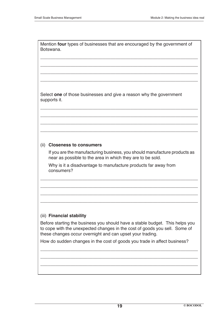Mention **four** types of businesses that are encouraged by the government of Botswana.

\_\_\_\_\_\_\_\_\_\_\_\_\_\_\_\_\_\_\_\_\_\_\_\_\_\_\_\_\_\_\_\_\_\_\_\_\_\_\_\_\_\_\_\_\_\_\_\_\_\_\_\_\_\_\_\_\_\_\_\_\_\_\_

\_\_\_\_\_\_\_\_\_\_\_\_\_\_\_\_\_\_\_\_\_\_\_\_\_\_\_\_\_\_\_\_\_\_\_\_\_\_\_\_\_\_\_\_\_\_\_\_\_\_\_\_\_\_\_\_\_\_\_\_\_\_\_

\_\_\_\_\_\_\_\_\_\_\_\_\_\_\_\_\_\_\_\_\_\_\_\_\_\_\_\_\_\_\_\_\_\_\_\_\_\_\_\_\_\_\_\_\_\_\_\_\_\_\_\_\_\_\_\_\_\_\_\_\_\_\_

\_\_\_\_\_\_\_\_\_\_\_\_\_\_\_\_\_\_\_\_\_\_\_\_\_\_\_\_\_\_\_\_\_\_\_\_\_\_\_\_\_\_\_\_\_\_\_\_\_\_\_\_\_\_\_\_\_\_\_\_\_\_\_

\_\_\_\_\_\_\_\_\_\_\_\_\_\_\_\_\_\_\_\_\_\_\_\_\_\_\_\_\_\_\_\_\_\_\_\_\_\_\_\_\_\_\_\_\_\_\_\_\_\_\_\_\_\_\_\_\_\_\_\_\_\_\_

\_\_\_\_\_\_\_\_\_\_\_\_\_\_\_\_\_\_\_\_\_\_\_\_\_\_\_\_\_\_\_\_\_\_\_\_\_\_\_\_\_\_\_\_\_\_\_\_\_\_\_\_\_\_\_\_\_\_\_\_\_\_\_

\_\_\_\_\_\_\_\_\_\_\_\_\_\_\_\_\_\_\_\_\_\_\_\_\_\_\_\_\_\_\_\_\_\_\_\_\_\_\_\_\_\_\_\_\_\_\_\_\_\_\_\_\_\_\_\_\_\_\_\_\_\_\_

\_\_\_\_\_\_\_\_\_\_\_\_\_\_\_\_\_\_\_\_\_\_\_\_\_\_\_\_\_\_\_\_\_\_\_\_\_\_\_\_\_\_\_\_\_\_\_\_\_\_\_\_\_\_\_\_\_\_\_\_\_\_\_

Select **one** of those businesses and give a reason why the government supports it.

#### (ii) **Closeness to consumers**

 If you are the manufacturing business, you should manufacture products as near as possible to the area in which they are to be sold.

\_\_\_\_\_\_\_\_\_\_\_\_\_\_\_\_\_\_\_\_\_\_\_\_\_\_\_\_\_\_\_\_\_\_\_\_\_\_\_\_\_\_\_\_\_\_\_\_\_\_\_\_\_\_\_\_\_\_\_\_\_\_\_

\_\_\_\_\_\_\_\_\_\_\_\_\_\_\_\_\_\_\_\_\_\_\_\_\_\_\_\_\_\_\_\_\_\_\_\_\_\_\_\_\_\_\_\_\_\_\_\_\_\_\_\_\_\_\_\_\_\_\_\_\_\_\_

\_\_\_\_\_\_\_\_\_\_\_\_\_\_\_\_\_\_\_\_\_\_\_\_\_\_\_\_\_\_\_\_\_\_\_\_\_\_\_\_\_\_\_\_\_\_\_\_\_\_\_\_\_\_\_\_\_\_\_\_\_\_\_

\_\_\_\_\_\_\_\_\_\_\_\_\_\_\_\_\_\_\_\_\_\_\_\_\_\_\_\_\_\_\_\_\_\_\_\_\_\_\_\_\_\_\_\_\_\_\_\_\_\_\_\_\_\_\_\_\_\_\_\_\_\_\_

 Why is it a disadvantage to manufacture products far away from consumers?

#### (iii) **Financial stability**

Before starting the business you should have a stable budget. This helps you to cope with the unexpected changes in the cost of goods you sell. Some of these changes occur overnight and can upset your trading.

\_\_\_\_\_\_\_\_\_\_\_\_\_\_\_\_\_\_\_\_\_\_\_\_\_\_\_\_\_\_\_\_\_\_\_\_\_\_\_\_\_\_\_\_\_\_\_\_\_\_\_\_\_\_\_\_\_\_\_\_\_\_\_

\_\_\_\_\_\_\_\_\_\_\_\_\_\_\_\_\_\_\_\_\_\_\_\_\_\_\_\_\_\_\_\_\_\_\_\_\_\_\_\_\_\_\_\_\_\_\_\_\_\_\_\_\_\_\_\_\_\_\_\_\_\_\_

\_\_\_\_\_\_\_\_\_\_\_\_\_\_\_\_\_\_\_\_\_\_\_\_\_\_\_\_\_\_\_\_\_\_\_\_\_\_\_\_\_\_\_\_\_\_\_\_\_\_\_\_\_\_\_\_\_\_\_\_\_\_\_

How do sudden changes in the cost of goods you trade in affect business?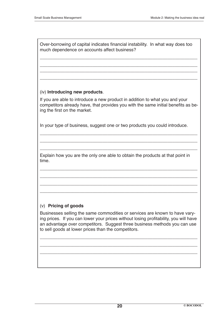Over-borrowing of capital indicates financial instability. In what way does too much dependence on accounts affect business?

\_\_\_\_\_\_\_\_\_\_\_\_\_\_\_\_\_\_\_\_\_\_\_\_\_\_\_\_\_\_\_\_\_\_\_\_\_\_\_\_\_\_\_\_\_\_\_\_\_\_\_\_\_\_\_\_\_\_\_\_\_\_\_

\_\_\_\_\_\_\_\_\_\_\_\_\_\_\_\_\_\_\_\_\_\_\_\_\_\_\_\_\_\_\_\_\_\_\_\_\_\_\_\_\_\_\_\_\_\_\_\_\_\_\_\_\_\_\_\_\_\_\_\_\_\_\_ \_\_\_\_\_\_\_\_\_\_\_\_\_\_\_\_\_\_\_\_\_\_\_\_\_\_\_\_\_\_\_\_\_\_\_\_\_\_\_\_\_\_\_\_\_\_\_\_\_\_\_\_\_\_\_\_\_\_\_\_\_\_\_

\_\_\_\_\_\_\_\_\_\_\_\_\_\_\_\_\_\_\_\_\_\_\_\_\_\_\_\_\_\_\_\_\_\_\_\_\_\_\_\_\_\_\_\_\_\_\_\_\_\_\_\_\_\_\_\_\_\_\_\_\_\_\_

#### (iv) **Introducing new products**.

If you are able to introduce a new product in addition to what you and your competitors already have, that provides you with the same initial benefits as being the first on the market.

\_\_\_\_\_\_\_\_\_\_\_\_\_\_\_\_\_\_\_\_\_\_\_\_\_\_\_\_\_\_\_\_\_\_\_\_\_\_\_\_\_\_\_\_\_\_\_\_\_\_\_\_\_\_\_\_\_\_\_\_\_\_\_

\_\_\_\_\_\_\_\_\_\_\_\_\_\_\_\_\_\_\_\_\_\_\_\_\_\_\_\_\_\_\_\_\_\_\_\_\_\_\_\_\_\_\_\_\_\_\_\_\_\_\_\_\_\_\_\_\_\_\_\_\_\_\_

\_\_\_\_\_\_\_\_\_\_\_\_\_\_\_\_\_\_\_\_\_\_\_\_\_\_\_\_\_\_\_\_\_\_\_\_\_\_\_\_\_\_\_\_\_\_\_\_\_\_\_\_\_\_\_\_\_\_\_\_\_\_\_

\_\_\_\_\_\_\_\_\_\_\_\_\_\_\_\_\_\_\_\_\_\_\_\_\_\_\_\_\_\_\_\_\_\_\_\_\_\_\_\_\_\_\_\_\_\_\_\_\_\_\_\_\_\_\_\_\_\_\_\_\_\_\_

\_\_\_\_\_\_\_\_\_\_\_\_\_\_\_\_\_\_\_\_\_\_\_\_\_\_\_\_\_\_\_\_\_\_\_\_\_\_\_\_\_\_\_\_\_\_\_\_\_\_\_\_\_\_\_\_\_\_\_\_\_\_\_

\_\_\_\_\_\_\_\_\_\_\_\_\_\_\_\_\_\_\_\_\_\_\_\_\_\_\_\_\_\_\_\_\_\_\_\_\_\_\_\_\_\_\_\_\_\_\_\_\_\_\_\_\_\_\_\_\_\_\_\_\_\_\_

\_\_\_\_\_\_\_\_\_\_\_\_\_\_\_\_\_\_\_\_\_\_\_\_\_\_\_\_\_\_\_\_\_\_\_\_\_\_\_\_\_\_\_\_\_\_\_\_\_\_\_\_\_\_\_\_\_\_\_\_\_\_\_

In your type of business, suggest one or two products you could introduce.

Explain how you are the only one able to obtain the products at that point in time.

#### (v) **Pricing of goods**

Businesses selling the same commodities or services are known to have varying prices. If you can lower your prices without losing profitability, you will have an advantage over competitors. Suggest three business methods you can use to sell goods at lower prices than the competitors.

\_\_\_\_\_\_\_\_\_\_\_\_\_\_\_\_\_\_\_\_\_\_\_\_\_\_\_\_\_\_\_\_\_\_\_\_\_\_\_\_\_\_\_\_\_\_\_\_\_\_\_\_\_\_\_\_\_\_\_\_\_\_\_

\_\_\_\_\_\_\_\_\_\_\_\_\_\_\_\_\_\_\_\_\_\_\_\_\_\_\_\_\_\_\_\_\_\_\_\_\_\_\_\_\_\_\_\_\_\_\_\_\_\_\_\_\_\_\_\_\_\_\_\_\_\_\_

\_\_\_\_\_\_\_\_\_\_\_\_\_\_\_\_\_\_\_\_\_\_\_\_\_\_\_\_\_\_\_\_\_\_\_\_\_\_\_\_\_\_\_\_\_\_\_\_\_\_\_\_\_\_\_\_\_\_\_\_\_\_\_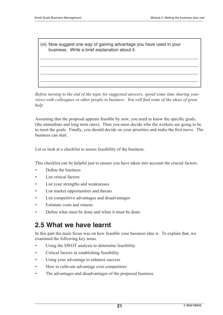(vi) Now suggest one way of gaining advantage you have used in your business. Write a brief explanation about it.

\_\_\_\_\_\_\_\_\_\_\_\_\_\_\_\_\_\_\_\_\_\_\_\_\_\_\_\_\_\_\_\_\_\_\_\_\_\_\_\_\_\_\_\_\_\_\_\_\_\_\_\_\_\_\_\_\_\_\_\_\_\_\_

\_\_\_\_\_\_\_\_\_\_\_\_\_\_\_\_\_\_\_\_\_\_\_\_\_\_\_\_\_\_\_\_\_\_\_\_\_\_\_\_\_\_\_\_\_\_\_\_\_\_\_\_\_\_\_\_\_\_\_\_\_\_\_

\_\_\_\_\_\_\_\_\_\_\_\_\_\_\_\_\_\_\_\_\_\_\_\_\_\_\_\_\_\_\_\_\_\_\_\_\_\_\_\_\_\_\_\_\_\_\_\_\_\_\_\_\_\_\_\_\_\_\_\_\_\_\_

\_\_\_\_\_\_\_\_\_\_\_\_\_\_\_\_\_\_\_\_\_\_\_\_\_\_\_\_\_\_\_\_\_\_\_\_\_\_\_\_\_\_\_\_\_\_\_\_\_\_\_\_\_\_\_\_\_\_\_\_\_\_\_

*Before turning to the end of the topic for suggested answers, spend some time sharing your views with colleagues or other people in business. You will find some of the ideas of great help.*

Assuming that the proposal appears feasible by now, you need to know the specific goals, (the immediate and long term ones). Then you must decide who the workers are going to be to meet the goals. Finally, you should decide on your priorities and make the first move. The business can start.

Let us look at a checklist to assess feasibility of the business.

This checklist can be helpful just to ensure you have taken into account the crucial factors.

- Define the business
- List critical factors
- List your strengths and weaknesses
- List market opportunities and threats
- List competitive advantages and disadvantages
- Estimate costs and returns
- Define what must be done and when it must be done.

### **2.5 What we have learnt**

In this part the main focus was on how feasible your business idea is. To explain that, we examined the following key areas.

- Using the SWOT analysis to determine feasibility
- Critical factors in establishing feasibility
- Using your advantage to enhance success
- How to cultivate advantage over competitors
- The advantages and disadvantages of the proposed business.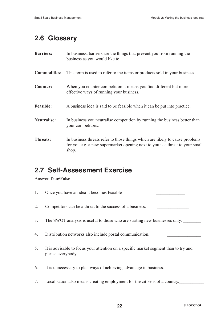### **2.6 Glossary**

| <b>Barriers:</b>    | In business, barriers are the things that prevent you from running the<br>business as you would like to.                                                              |
|---------------------|-----------------------------------------------------------------------------------------------------------------------------------------------------------------------|
| <b>Commodities:</b> | This term is used to refer to the items or products sold in your business.                                                                                            |
| <b>Counter:</b>     | When you counter competition it means you find different but more<br>effective ways of running your business.                                                         |
| <b>Feasible:</b>    | A business idea is said to be feasible when it can be put into practice.                                                                                              |
| <b>Neutralise:</b>  | In business you neutralise competition by running the business better than<br>your competitors                                                                        |
| <b>Threats:</b>     | In business threats refer to those things which are likely to cause problems<br>for you e.g. a new supermarket opening next to you is a threat to your small<br>shop. |

### **2.7 Self-Assessment Exercise**

#### Answer **True/False**

1. Once you have an idea it becomes feasible 2. Competitors can be a threat to the success of a business. 3. The SWOT analysis is useful to those who are starting new businesses only. 4. Distribution networks also include postal communication. 5. It is advisable to focus your attention on a specific market segment than to try and please everybody. 6. It is unnecessary to plan ways of achieving advantage in business. 7. Localisation also means creating employment for the citizens of a country.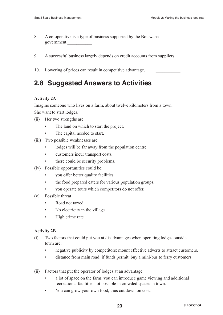- 8. A co-operative is a type of business supported by the Botswana government.\_\_\_\_\_\_\_\_\_\_\_
- 9. A successful business largely depends on credit accounts from suppliers.

10. Lowering of prices can result in competitive advantage.

### **2.8 Suggested Answers to Activities**

#### **Activity 2A**

Imagine someone who lives on a farm, about twelve kilometers from a town. She want to start lodges.

- (ii) Her two strengths are:
	- The land on which to start the project.
	- The capital needed to start.
- (iii) Two possible weaknesses are:
	- lodges will be far away from the population centre.
	- customers incur transport costs.
	- there could be security problems.
- (iv) Possible opportunities could be:
	- you offer better quality facilities
	- the food prepared caters for various population groups.
	- you operate tours which competitors do not offer.
- (v) Possible threat
	- Road not tarred
	- No electricity in the village
	- High crime rate

#### **Activity 2B**

- (i) Two factors that could put you at disadvantages when operating lodges outside town are:
	- negative publicity by competitors: mount effective adverts to attract customers.
	- distance from main road: if funds permit, buy a mini-bus to ferry customers.
- (ii) Factors that put the operator of lodges at an advantage.
	- a lot of space on the farm: you can introduce game viewing and additional recreational facilities not possible in crowded spaces in town.
	- You can grow your own food, thus cut down on cost.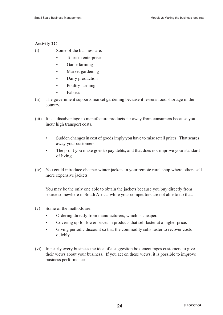#### **Activity 2C**

- (i) Some of the business are:
	- Tourism enterprises
	- Game farming
	- Market gardening
	- Dairy production
	- Poultry farming
	- Fabrics
- (ii) The government supports market gardening because it lessens food shortage in the country.
- (iii) It is a disadvantage to manufacture products far away from consumers because you incur high transport costs.
	- Sudden changes in cost of goods imply you have to raise retail prices. That scares away your customers.
	- The profit you make goes to pay debts, and that does not improve your standard of living.
- (iv) You could introduce cheaper winter jackets in your remote rural shop where others sell more expensive jackets.

 You may be the only one able to obtain the jackets because you buy directly from source somewhere in South Africa, while your competitors are not able to do that.

- (v) Some of the methods are:
	- Ordering directly from manufacturers, which is cheaper.
	- Covering up for lower prices in products that sell faster at a higher price.
	- Giving periodic discount so that the commodity sells faster to recover costs quickly.
- (vi) In nearly every business the idea of a suggestion box encourages customers to give their views about your business. If you act on these views, it is possible to improve business performance.